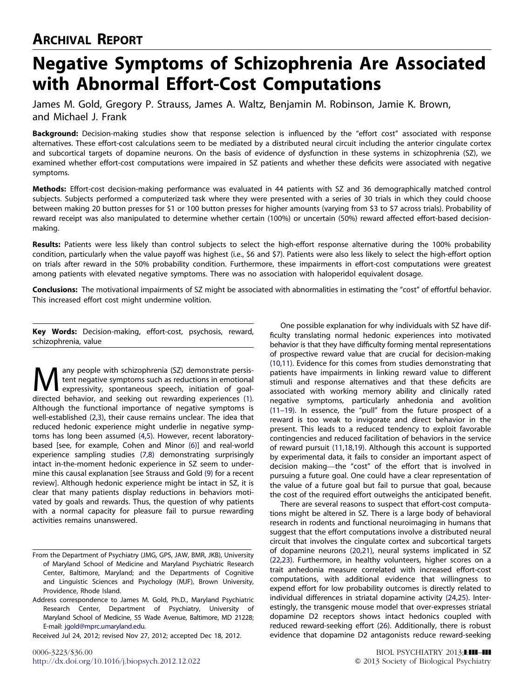# ARCHIVAL REPORT

# Negative Symptoms of Schizophrenia Are Associated with Abnormal Effort-Cost Computations

James M. Gold, Gregory P. Strauss, James A. Waltz, Benjamin M. Robinson, Jamie K. Brown, and Michael J. Frank

Background: Decision-making studies show that response selection is influenced by the "effort cost" associated with response alternatives. These effort-cost calculations seem to be mediated by a distributed neural circuit including the anterior cingulate cortex and subcortical targets of dopamine neurons. On the basis of evidence of dysfunction in these systems in schizophrenia (SZ), we examined whether effort-cost computations were impaired in SZ patients and whether these deficits were associated with negative symptoms.

Methods: Effort-cost decision-making performance was evaluated in 44 patients with SZ and 36 demographically matched control subjects. Subjects performed a computerized task where they were presented with a series of 30 trials in which they could choose between making 20 button presses for \$1 or 100 button presses for higher amounts (varying from \$3 to \$7 across trials). Probability of reward receipt was also manipulated to determine whether certain (100%) or uncertain (50%) reward affected effort-based decisionmaking.

Results: Patients were less likely than control subjects to select the high-effort response alternative during the 100% probability condition, particularly when the value payoff was highest (i.e., \$6 and \$7). Patients were also less likely to select the high-effort option on trials after reward in the 50% probability condition. Furthermore, these impairments in effort-cost computations were greatest among patients with elevated negative symptoms. There was no association with haloperidol equivalent dosage.

Conclusions: The motivational impairments of SZ might be associated with abnormalities in estimating the "cost" of effortful behavior. This increased effort cost might undermine volition.

Key Words: Decision-making, effort-cost, psychosis, reward, schizophrenia, value

Many people with schizophrenia (SZ) demonstrate persis-<br>
expressivity, spontaneous speech, initiation of goal-<br>
directed behavior, and socking out rewarding experiences (1) tent negative symptoms such as reductions in emotional directed behavior, and seeking out rewarding experiences [\(1\).](#page-6-0) Although the functional importance of negative symptoms is well-established [\(2,3\),](#page-6-0) their cause remains unclear. The idea that reduced hedonic experience might underlie in negative symptoms has long been assumed [\(4,5\)](#page-6-0). However, recent laboratorybased [see, for example, Cohen and Minor [\(6\)\]](#page-6-0) and real-world experience sampling studies [\(7,8\)](#page-6-0) demonstrating surprisingly intact in-the-moment hedonic experience in SZ seem to undermine this causal explanation [see Strauss and Gold [\(9\)](#page-6-0) for a recent review]. Although hedonic experience might be intact in SZ, it is clear that many patients display reductions in behaviors motivated by goals and rewards. Thus, the question of why patients with a normal capacity for pleasure fail to pursue rewarding activities remains unanswered.

Received Jul 24, 2012; revised Nov 27, 2012; accepted Dec 18, 2012.

One possible explanation for why individuals with SZ have difficulty translating normal hedonic experiences into motivated behavior is that they have difficulty forming mental representations of prospective reward value that are crucial for decision-making [\(10,11\).](#page-6-0) Evidence for this comes from studies demonstrating that patients have impairments in linking reward value to different stimuli and response alternatives and that these deficits are associated with working memory ability and clinically rated negative symptoms, particularly anhedonia and avolition [\(11–19\)](#page-6-0). In essence, the "pull" from the future prospect of a reward is too weak to invigorate and direct behavior in the present. This leads to a reduced tendency to exploit favorable contingencies and reduced facilitation of behaviors in the service of reward pursuit [\(11](#page-6-0),[18,19\).](#page-6-0) Although this account is supported by experimental data, it fails to consider an important aspect of decision making—the "cost" of the effort that is involved in pursuing a future goal. One could have a clear representation of the value of a future goal but fail to pursue that goal, because the cost of the required effort outweighs the anticipated benefit.

There are several reasons to suspect that effort-cost computations might be altered in SZ. There is a large body of behavioral research in rodents and functional neuroimaging in humans that suggest that the effort computations involve a distributed neural circuit that involves the cingulate cortex and subcortical targets of dopamine neurons [\(20,21\),](#page-6-0) neural systems implicated in SZ [\(22,23\).](#page-6-0) Furthermore, in healthy volunteers, higher scores on a trait anhedonia measure correlated with increased effort-cost computations, with additional evidence that willingness to expend effort for low probability outcomes is directly related to individual differences in striatal dopamine activity [\(24,25\).](#page-6-0) Interestingly, the transgenic mouse model that over-expresses striatal dopamine D2 receptors shows intact hedonics coupled with reduced reward-seeking effort [\(26\)](#page-6-0). Additionally, there is robust evidence that dopamine D2 antagonists reduce reward-seeking

From the Department of Psychiatry (JMG, GPS, JAW, BMR, JKB), University of Maryland School of Medicine and Maryland Psychiatric Research Center, Baltimore, Maryland; and the Departments of Cognitive and Linguistic Sciences and Psychology (MJF), Brown University, Providence, Rhode Island.

Address correspondence to James M. Gold, Ph.D., Maryland Psychiatric Research Center, Department of Psychiatry, University of Maryland School of Medicine, 55 Wade Avenue, Baltimore, MD 21228; E-mail: [jgold@mprc.umaryland.edu.](mailto:jgold@mprc.umaryland.edu)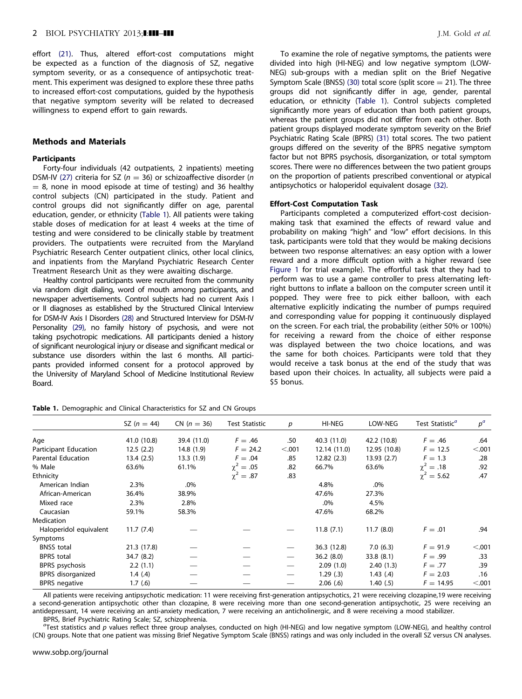<span id="page-1-0"></span>effort [\(21\).](#page-6-0) Thus, altered effort-cost computations might be expected as a function of the diagnosis of SZ, negative symptom severity, or as a consequence of antipsychotic treatment. This experiment was designed to explore these three paths to increased effort-cost computations, guided by the hypothesis that negative symptom severity will be related to decreased willingness to expend effort to gain rewards.

### Methods and Materials

# **Participants**

Forty-four individuals (42 outpatients, 2 inpatients) meeting DSM-IV [\(27\)](#page-6-0) criteria for SZ ( $n = 36$ ) or schizoaffective disorder (n  $= 8$ , none in mood episode at time of testing) and 36 healthy control subjects (CN) participated in the study. Patient and control groups did not significantly differ on age, parental education, gender, or ethnicity (Table 1). All patients were taking stable doses of medication for at least 4 weeks at the time of testing and were considered to be clinically stable by treatment providers. The outpatients were recruited from the Maryland Psychiatric Research Center outpatient clinics, other local clinics, and inpatients from the Maryland Psychiatric Research Center Treatment Research Unit as they were awaiting discharge.

Healthy control participants were recruited from the community via random digit dialing, word of mouth among participants, and newspaper advertisements. Control subjects had no current Axis I or II diagnoses as established by the Structured Clinical Interview for DSM-IV Axis I Disorders [\(28\)](#page-6-0) and Structured Interview for DSM-IV Personality [\(29\),](#page-6-0) no family history of psychosis, and were not taking psychotropic medications. All participants denied a history of significant neurological injury or disease and significant medical or substance use disorders within the last 6 months. All participants provided informed consent for a protocol approved by the University of Maryland School of Medicine Institutional Review Board.

|  |  |  |  |  | Table 1. Demographic and Clinical Characteristics for SZ and CN Groups |  |  |  |  |  |
|--|--|--|--|--|------------------------------------------------------------------------|--|--|--|--|--|
|--|--|--|--|--|------------------------------------------------------------------------|--|--|--|--|--|

To examine the role of negative symptoms, the patients were divided into high (HI-NEG) and low negative symptom (LOW-NEG) sub-groups with a median split on the Brief Negative Symptom Scale (BNSS) [\(30\)](#page-6-0) total score (split score  $=$  21). The three groups did not significantly differ in age, gender, parental education, or ethnicity (Table 1). Control subjects completed significantly more years of education than both patient groups, whereas the patient groups did not differ from each other. Both patient groups displayed moderate symptom severity on the Brief Psychiatric Rating Scale (BPRS) [\(31\)](#page-6-0) total scores. The two patient groups differed on the severity of the BPRS negative symptom factor but not BPRS psychosis, disorganization, or total symptom scores. There were no differences between the two patient groups on the proportion of patients prescribed conventional or atypical antipsychotics or haloperidol equivalent dosage [\(32\)](#page-6-0).

#### Effort-Cost Computation Task

Participants completed a computerized effort-cost decisionmaking task that examined the effects of reward value and probability on making "high" and "low" effort decisions. In this task, participants were told that they would be making decisions between two response alternatives: an easy option with a lower reward and a more difficult option with a higher reward (see [Figure 1](#page-2-0) for trial example). The effortful task that they had to perform was to use a game controller to press alternating leftright buttons to inflate a balloon on the computer screen until it popped. They were free to pick either balloon, with each alternative explicitly indicating the number of pumps required and corresponding value for popping it continuously displayed on the screen. For each trial, the probability (either 50% or 100%) for receiving a reward from the choice of either response was displayed between the two choice locations, and was the same for both choices. Participants were told that they would receive a task bonus at the end of the study that was based upon their choices. In actuality, all subjects were paid a \$5 bonus.

|                           | SZ $(n = 44)$ | $CN (n = 36)$ | <b>Test Statistic</b> | р      | HI-NEG       | LOW-NEG      | Test Statistic <sup>a</sup> | $p^a$  |
|---------------------------|---------------|---------------|-----------------------|--------|--------------|--------------|-----------------------------|--------|
| Age                       | 41.0 (10.8)   | 39.4 (11.0)   | $F=.46$               | .50    | 40.3 (11.0)  | 42.2 (10.8)  | $F=.46$                     | .64    |
| Participant Education     | 12.5(2.2)     | 14.8 (1.9)    | $F = 24.2$            | < .001 | 12.14 (11.0) | 12.95 (10.8) | $F = 12.5$                  | < .001 |
| <b>Parental Education</b> | 13.4(2.5)     | 13.3(1.9)     | $F=.04$               | .85    | 12.82(2.3)   | 13.93(2.7)   | $F = 1.3$                   | .28    |
| % Male                    | 63.6%         | 61.1%         | $\gamma^2 = .05$      | .82    | 66.7%        | 63.6%        | $\gamma^2 = .18$            | .92    |
| Ethnicity                 |               |               | $\gamma^2 = .87$      | .83    |              |              | $\gamma^2 = 5.62$           | .47    |
| American Indian           | 2.3%          | .0%           |                       |        | 4.8%         | .0%          |                             |        |
| African-American          | 36.4%         | 38.9%         |                       |        | 47.6%        | 27.3%        |                             |        |
| Mixed race                | 2.3%          | 2.8%          |                       |        | .0%          | 4.5%         |                             |        |
| Caucasian                 | 59.1%         | 58.3%         |                       |        | 47.6%        | 68.2%        |                             |        |
| <b>Medication</b>         |               |               |                       |        |              |              |                             |        |
| Haloperidol equivalent    | 11.7(7.4)     |               |                       |        | 11.8(7.1)    | 11.7(8.0)    | $F=.01$                     | .94    |
| Symptoms                  |               |               |                       |        |              |              |                             |        |
| <b>BNSS</b> total         | 21.3 (17.8)   |               |                       |        | 36.3 (12.8)  | 7.0(6.3)     | $F = 91.9$                  | < .001 |
| <b>BPRS</b> total         | 34.7 (8.2)    |               |                       |        | 36.2(8.0)    | 33.8(8.1)    | $F=.99$                     | .33    |
| BPRS psychosis            | 2.2(1.1)      |               |                       |        | 2.09(1.0)    | 2.40(1.3)    | $F=.77$                     | .39    |
| BPRS disorganized         | 1.4(4)        |               |                       |        | 1.29(.3)     | 1.43(4)      | $F = 2.03$                  | .16    |
| <b>BPRS</b> negative      | 1.7(6)        |               |                       |        | 2.06(.6)     | 1.40(.5)     | $F = 14.95$                 | < .001 |

All patients were receiving antipsychotic medication: 11 were receiving first-generation antipsychotics, 21 were receiving clozapine,19 were receiving a second-generation antipsychotic other than clozapine, 8 were receiving more than one second-generation antipsychotic, 25 were receiving an antidepressant, 14 were receiving an anti-anxiety medication, 7 were receiving an anticholinergic, and 8 were receiving a mood stabilizer. BPRS, Brief Psychiatric Rating Scale; SZ, schizophrenia.

<sup>a</sup> Test statistics and p values reflect three group analyses, conducted on high (HI-NEG) and low negative symptom (LOW-NEG), and healthy control (CN) groups. Note that one patient was missing Brief Negative Symptom Scale (BNSS) ratings and was only included in the overall SZ versus CN analyses.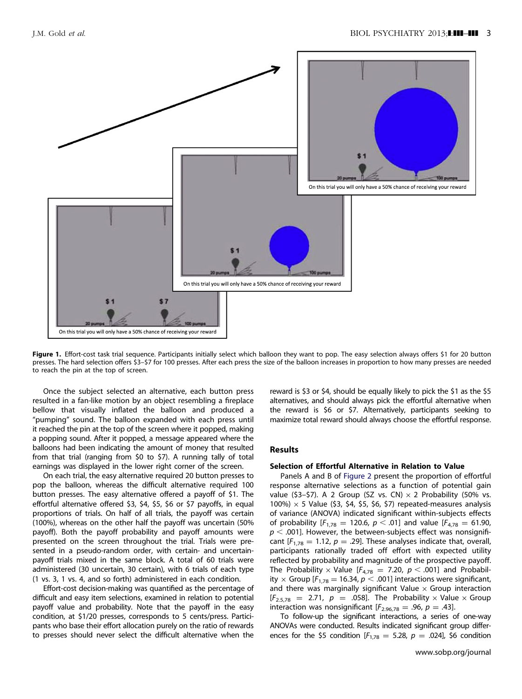<span id="page-2-0"></span>

Figure 1. Effort-cost task trial sequence. Participants initially select which balloon they want to pop. The easy selection always offers \$1 for 20 button presses. The hard selection offers \$3–\$7 for 100 presses. After each press the size of the balloon increases in proportion to how many presses are needed to reach the pin at the top of screen.

Once the subject selected an alternative, each button press resulted in a fan-like motion by an object resembling a fireplace bellow that visually inflated the balloon and produced a "pumping" sound. The balloon expanded with each press until it reached the pin at the top of the screen where it popped, making a popping sound. After it popped, a message appeared where the balloons had been indicating the amount of money that resulted from that trial (ranging from \$0 to \$7). A running tally of total earnings was displayed in the lower right corner of the screen.

On each trial, the easy alternative required 20 button presses to pop the balloon, whereas the difficult alternative required 100 button presses. The easy alternative offered a payoff of \$1. The effortful alternative offered \$3, \$4, \$5, \$6 or \$7 payoffs, in equal proportions of trials. On half of all trials, the payoff was certain (100%), whereas on the other half the payoff was uncertain (50% payoff). Both the payoff probability and payoff amounts were presented on the screen throughout the trial. Trials were presented in a pseudo-random order, with certain- and uncertainpayoff trials mixed in the same block. A total of 60 trials were administered (30 uncertain, 30 certain), with 6 trials of each type (1 vs. 3, 1 vs. 4, and so forth) administered in each condition.

Effort-cost decision-making was quantified as the percentage of difficult and easy item selections, examined in relation to potential payoff value and probability. Note that the payoff in the easy condition, at \$1/20 presses, corresponds to 5 cents/press. Participants who base their effort allocation purely on the ratio of rewards to presses should never select the difficult alternative when the reward is \$3 or \$4, should be equally likely to pick the \$1 as the \$5 alternatives, and should always pick the effortful alternative when the reward is \$6 or \$7. Alternatively, participants seeking to maximize total reward should always choose the effortful response.

# Results

# Selection of Effortful Alternative in Relation to Value

Panels A and B of [Figure 2](#page-3-0) present the proportion of effortful response alternative selections as a function of potential gain value (\$3-\$7). A 2 Group (SZ vs. CN)  $\times$  2 Probability (50% vs.  $100\%$ )  $\times$  5 Value (\$3, \$4, \$5, \$6, \$7) repeated-measures analysis of variance (ANOVA) indicated significant within-subjects effects of probability  $[F_{1,78} = 120.6, p < .01]$  and value  $[F_{4,78} = 61.90,$  $p<$  .001]. However, the between-subjects effect was nonsignificant  $[F_{1,78} = 1.12, p = .29]$ . These analyses indicate that, overall, participants rationally traded off effort with expected utility reflected by probability and magnitude of the prospective payoff. The Probability  $\times$  Value [ $F_{4,78} = 7.20$ ,  $p < .001$ ] and Probability  $\times$  Group [ $F_{1,78}$  = 16.34,  $p < .001$ ] interactions were significant, and there was marginally significant Value  $\times$  Group interaction  $[F_{2.5,78} = 2.71, p = .058]$ . The Probability  $\times$  Value  $\times$  Group interaction was nonsignificant  $[F_{2.96.78} = .96, p = .43]$ .

To follow-up the significant interactions, a series of one-way ANOVAs were conducted. Results indicated significant group differences for the \$5 condition  $[F_{1,78} = 5.28, p = .024]$ , \$6 condition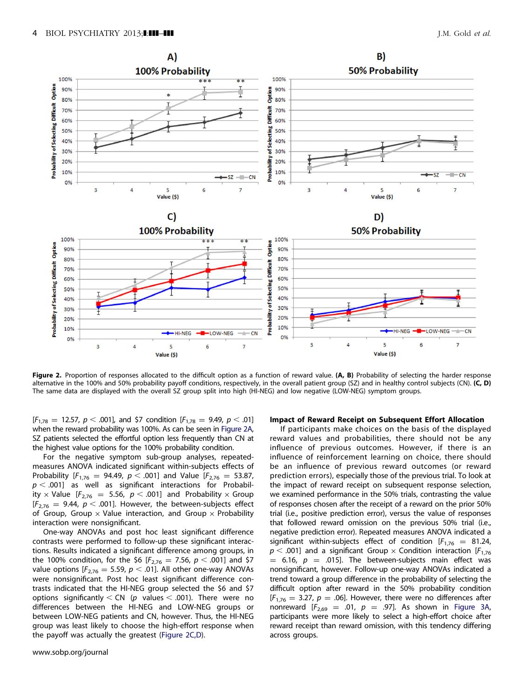<span id="page-3-0"></span>

Figure 2. Proportion of responses allocated to the difficult option as a function of reward value. (A, B) Probability of selecting the harder response alternative in the 100% and 50% probability payoff conditions, respectively, in the overall patient group (SZ) and in healthy control subjects (CN). (C, D) The same data are displayed with the overall SZ group split into high (HI-NEG) and low negative (LOW-NEG) symptom groups.

 $[F_{1,78} = 12.57, p < .001]$ , and \$7 condition  $[F_{1,78} = 9.49, p < .01]$ when the reward probability was 100%. As can be seen in Figure 2A, SZ patients selected the effortful option less frequently than CN at the highest value options for the 100% probability condition.

For the negative symptom sub-group analyses, repeatedmeasures ANOVA indicated significant within-subjects effects of Probability [ $F_{1,76} = 94.49$ ,  $p < .001$ ] and Value [ $F_{2,76} = 53.87$ ,  $p < .001$ ] as well as significant interactions for Probability  $\times$  Value [ $F_{2,76}$  = 5.56,  $p < .001$ ] and Probability  $\times$  Group  $[F_{2,76} = 9.44, p < .001]$ . However, the between-subjects effect of Group, Group  $\times$  Value interaction, and Group  $\times$  Probability interaction were nonsignificant.

One-way ANOVAs and post hoc least significant difference contrasts were performed to follow-up these significant interactions. Results indicated a significant difference among groups, in the 100% condition, for the \$6 [ $F_{2,76} = 7.56$ ,  $p < .001$ ] and \$7 value options [ $F_{2,76} = 5.59$ ,  $p < .01$ ]. All other one-way ANOVAs were nonsignificant. Post hoc least significant difference contrasts indicated that the HI-NEG group selected the \$6 and \$7 options significantly  $\lt$  CN (p values  $\lt$  .001). There were no differences between the HI-NEG and LOW-NEG groups or between LOW-NEG patients and CN, however. Thus, the HI-NEG group was least likely to choose the high-effort response when the payoff was actually the greatest (Figure 2C,D).

#### Impact of Reward Receipt on Subsequent Effort Allocation

If participants make choices on the basis of the displayed reward values and probabilities, there should not be any influence of previous outcomes. However, if there is an influence of reinforcement learning on choice, there should be an influence of previous reward outcomes (or reward prediction errors), especially those of the previous trial. To look at the impact of reward receipt on subsequent response selection, we examined performance in the 50% trials, contrasting the value of responses chosen after the receipt of a reward on the prior 50% trial (i.e., positive prediction error), versus the value of responses that followed reward omission on the previous 50% trial (i.e., negative prediction error). Repeated measures ANOVA indicated a significant within-subjects effect of condition  $[F_{1,76} = 81.24,$  $p <$  .001] and a significant Group  $\times$  Condition interaction [F<sub>1,76</sub>  $=$  6.16,  $p =$  .015]. The between-subjects main effect was nonsignificant, however. Follow-up one-way ANOVAs indicated a trend toward a group difference in the probability of selecting the difficult option after reward in the 50% probability condition  $[F_{1,76} = 3.27, p = .06]$ . However, there were no differences after nonreward  $[F_{2,69} = .01, p = .97]$ . As shown in [Figure 3A,](#page-4-0) participants were more likely to select a high-effort choice after reward receipt than reward omission, with this tendency differing across groups.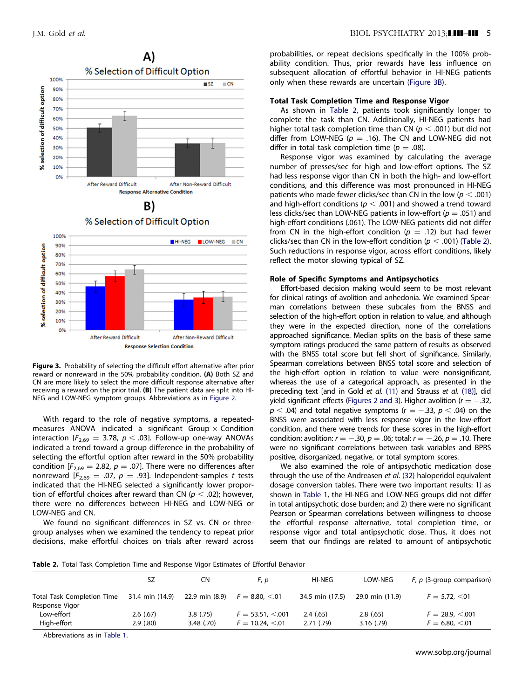<span id="page-4-0"></span>

Figure 3. Probability of selecting the difficult effort alternative after prior reward or nonreward in the 50% probability condition. (A) Both SZ and CN are more likely to select the more difficult response alternative after receiving a reward on the prior trial. (B) The patient data are split into HI-NEG and LOW-NEG symptom groups. Abbreviations as in [Figure 2](#page-3-0).

With regard to the role of negative symptoms, a repeatedmeasures ANOVA indicated a significant Group  $\times$  Condition interaction [ $F_{2,69} = 3.78$ ,  $p < .03$ ]. Follow-up one-way ANOVAs indicated a trend toward a group difference in the probability of selecting the effortful option after reward in the 50% probability condition  $[F_{2,69} = 2.82, p = .07]$ . There were no differences after nonreward  $[F_{2,69} = .07, p = .93]$ . Independent-samples t tests indicated that the HI-NEG selected a significantly lower proportion of effortful choices after reward than CN ( $p<$  .02); however, there were no differences between HI-NEG and LOW-NEG or LOW-NEG and CN.

We found no significant differences in SZ vs. CN or threegroup analyses when we examined the tendency to repeat prior decisions, make effortful choices on trials after reward across probabilities, or repeat decisions specifically in the 100% probability condition. Thus, prior rewards have less influence on subsequent allocation of effortful behavior in HI-NEG patients only when these rewards are uncertain (Figure 3B).

### Total Task Completion Time and Response Vigor

As shown in Table 2, patients took significantly longer to complete the task than CN. Additionally, HI-NEG patients had higher total task completion time than CN ( $p < .001$ ) but did not differ from LOW-NEG ( $p = .16$ ). The CN and LOW-NEG did not differ in total task completion time ( $p = .08$ ).

Response vigor was examined by calculating the average number of presses/sec for high and low-effort options. The SZ had less response vigor than CN in both the high- and low-effort conditions, and this difference was most pronounced in HI-NEG patients who made fewer clicks/sec than CN in the low ( $p < .001$ ) and high-effort conditions ( $p < .001$ ) and showed a trend toward less clicks/sec than LOW-NEG patients in low-effort ( $p = .051$ ) and high-effort conditions (.061). The LOW-NEG patients did not differ from CN in the high-effort condition ( $p = .12$ ) but had fewer clicks/sec than CN in the low-effort condition ( $p < .001$ ) (Table 2). Such reductions in response vigor, across effort conditions, likely reflect the motor slowing typical of SZ.

# Role of Specific Symptoms and Antipsychotics

Effort-based decision making would seem to be most relevant for clinical ratings of avolition and anhedonia. We examined Spearman correlations between these subcales from the BNSS and selection of the high-effort option in relation to value, and although they were in the expected direction, none of the correlations approached significance. Median splits on the basis of these same symptom ratings produced the same pattern of results as observed with the BNSS total score but fell short of significance. Similarly, Spearman correlations between BNSS total score and selection of the high-effort option in relation to value were nonsignificant, whereas the use of a categorical approach, as presented in the preceding text [and in Gold et al. [\(11\)](#page-6-0) and Strauss et al. [\(18\)](#page-6-0)], did yield significant effects [\(Figures 2 and 3\)](#page-3-0). Higher avolition ( $r = -.32$ ,  $p <$  .04) and total negative symptoms (r  $=-.33,\, p < .04$ ) on the BNSS were associated with less response vigor in the low-effort condition, and there were trends for these scores in the high-effort condition: avolition:  $r = -.30$ ,  $p = .06$ ; total:  $r = -.26$ ,  $p = .10$ . There were no significant correlations between task variables and BPRS positive, disorganized, negative, or total symptom scores.

We also examined the role of antipsychotic medication dose through the use of the Andreasen et al. [\(32\)](#page-6-0) haloperidol equivalent dosage conversion tables. There were two important results: 1) as shown in [Table 1](#page-1-0), the HI-NEG and LOW-NEG groups did not differ in total antipsychotic dose burden; and 2) there were no significant Pearson or Spearman correlations between willingness to choose the effortful response alternative, total completion time, or response vigor and total antipsychotic dose. Thus, it does not seem that our findings are related to amount of antipsychotic

Table 2. Total Task Completion Time and Response Vigor Estimates of Effortful Behavior

|                                              | SZ              | CΝ             | F, p                   | HI-NEG          | LOW-NEG         | $F, p$ (3-group comparison) |
|----------------------------------------------|-----------------|----------------|------------------------|-----------------|-----------------|-----------------------------|
| Total Task Completion Time<br>Response Vigor | 31.4 min (14.9) | 22.9 min (8.9) | $F = 8.80, \le 0.01$   | 34.5 min (17.5) | 29.0 min (11.9) | $F = 5.72, \le 01$          |
| Low-effort                                   | 2.6(.67)        | $3.8$ (.75)    | $F = 53.51, \le 0.001$ | 2.4(.65)        | $2.8$ (.65)     | $F = 28.9, \le 0.001$       |
| High-effort                                  | 2.9(.80)        | 3.48(0.70)     | $F = 10.24, \le 0.01$  | 2.71(0.79)      | 3.16(0.79)      | $F = 6.80, \le 0.01$        |

Abbreviations as in [Table 1.](#page-1-0)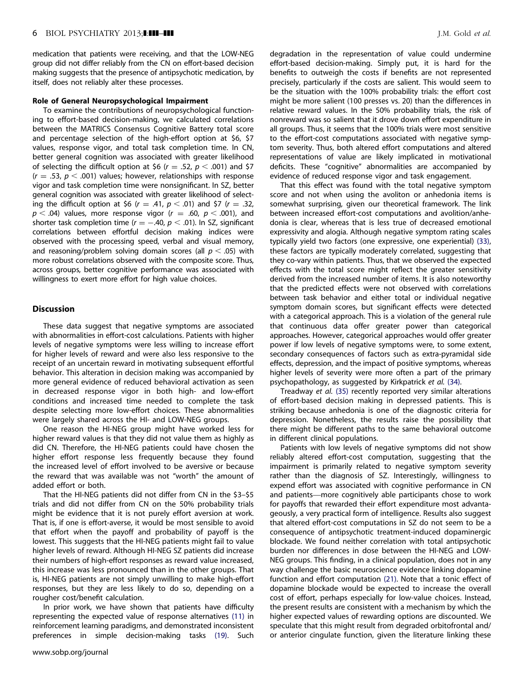medication that patients were receiving, and that the LOW-NEG group did not differ reliably from the CN on effort-based decision making suggests that the presence of antipsychotic medication, by itself, does not reliably alter these processes.

## Role of General Neuropsychological Impairment

To examine the contributions of neuropsychological functioning to effort-based decision-making, we calculated correlations between the MATRICS Consensus Cognitive Battery total score and percentage selection of the high-effort option at \$6, \$7 values, response vigor, and total task completion time. In CN, better general cognition was associated with greater likelihood of selecting the difficult option at \$6 ( $r = .52$ ,  $p < .001$ ) and \$7  $(r = .53, p < .001)$  values; however, relationships with response vigor and task completion time were nonsignificant. In SZ, better general cognition was associated with greater likelihood of selecting the difficult option at \$6 ( $r = .41$ ,  $p < .01$ ) and \$7 ( $r = .32$ ,  $p < .04$ ) values, more response vigor ( $r = .60$ ,  $p < .001$ ), and shorter task completion time ( $r = -.40$ ,  $p < .01$ ). In SZ, significant correlations between effortful decision making indices were observed with the processing speed, verbal and visual memory, and reasoning/problem solving domain scores (all  $p < .05$ ) with more robust correlations observed with the composite score. Thus, across groups, better cognitive performance was associated with willingness to exert more effort for high value choices.

# Discussion

These data suggest that negative symptoms are associated with abnormalities in effort-cost calculations. Patients with higher levels of negative symptoms were less willing to increase effort for higher levels of reward and were also less responsive to the receipt of an uncertain reward in motivating subsequent effortful behavior. This alteration in decision making was accompanied by more general evidence of reduced behavioral activation as seen in decreased response vigor in both high- and low-effort conditions and increased time needed to complete the task despite selecting more low-effort choices. These abnormalities were largely shared across the HI- and LOW-NEG groups.

One reason the HI-NEG group might have worked less for higher reward values is that they did not value them as highly as did CN. Therefore, the HI-NEG patients could have chosen the higher effort response less frequently because they found the increased level of effort involved to be aversive or because the reward that was available was not "worth" the amount of added effort or both.

That the HI-NEG patients did not differ from CN in the \$3–\$5 trials and did not differ from CN on the 50% probability trials might be evidence that it is not purely effort aversion at work. That is, if one is effort-averse, it would be most sensible to avoid that effort when the payoff and probability of payoff is the lowest. This suggests that the HI-NEG patients might fail to value higher levels of reward. Although HI-NEG SZ patients did increase their numbers of high-effort responses as reward value increased, this increase was less pronounced than in the other groups. That is, HI-NEG patients are not simply unwilling to make high-effort responses, but they are less likely to do so, depending on a rougher cost/benefit calculation.

In prior work, we have shown that patients have difficulty representing the expected value of response alternatives [\(11\)](#page-6-0) in reinforcement learning paradigms, and demonstrated inconsistent preferences in simple decision-making tasks [\(19\).](#page-6-0) Such degradation in the representation of value could undermine effort-based decision-making. Simply put, it is hard for the benefits to outweigh the costs if benefits are not represented precisely, particularly if the costs are salient. This would seem to be the situation with the 100% probability trials: the effort cost might be more salient (100 presses vs. 20) than the differences in relative reward values. In the 50% probability trials, the risk of nonreward was so salient that it drove down effort expenditure in all groups. Thus, it seems that the 100% trials were most sensitive to the effort-cost computations associated with negative symptom severity. Thus, both altered effort computations and altered representations of value are likely implicated in motivational deficits. These "cognitive" abnormalities are accompanied by evidence of reduced response vigor and task engagement.

That this effect was found with the total negative symptom score and not when using the avoliton or anhedonia items is somewhat surprising, given our theoretical framework. The link between increased effort-cost computations and avolition/anhedonia is clear, whereas that is less true of decreased emotional expressivity and alogia. Although negative symptom rating scales typically yield two factors (one expressive, one experiential) [\(33\),](#page-6-0) these factors are typically moderately correlated, suggesting that they co-vary within patients. Thus, that we observed the expected effects with the total score might reflect the greater sensitivity derived from the increased number of items. It is also noteworthy that the predicted effects were not observed with correlations between task behavior and either total or individual negative symptom domain scores, but significant effects were detected with a categorical approach. This is a violation of the general rule that continuous data offer greater power than categorical approaches. However, categorical approaches would offer greater power if low levels of negative symptoms were, to some extent, secondary consequences of factors such as extra-pyramidal side effects, depression, and the impact of positive symptoms, whereas higher levels of severity were more often a part of the primary psychopathology, as suggested by Kirkpatrick et al. [\(34\).](#page-6-0)

Treadway et al. [\(35\)](#page-6-0) recently reported very similar alterations of effort-based decision making in depressed patients. This is striking because anhedonia is one of the diagnostic criteria for depression. Nonetheless, the results raise the possibility that there might be different paths to the same behavioral outcome in different clinical populations.

Patients with low levels of negative symptoms did not show reliably altered effort-cost computation, suggesting that the impairment is primarily related to negative symptom severity rather than the diagnosis of SZ. Interestingly, willingness to expend effort was associated with cognitive performance in CN and patients—more cognitively able participants chose to work for payoffs that rewarded their effort expenditure most advantageously, a very practical form of intelligence. Results also suggest that altered effort-cost computations in SZ do not seem to be a consequence of antipsychotic treatment-induced dopaminergic blockade. We found neither correlation with total antipsychotic burden nor differences in dose between the HI-NEG and LOW-NEG groups. This finding, in a clinical population, does not in any way challenge the basic neuroscience evidence linking dopamine function and effort computation [\(21\)](#page-6-0). Note that a tonic effect of dopamine blockade would be expected to increase the overall cost of effort, perhaps especially for low-value choices. Instead, the present results are consistent with a mechanism by which the higher expected values of rewarding options are discounted. We speculate that this might result from degraded orbitofrontal and/ or anterior cingulate function, given the literature linking these